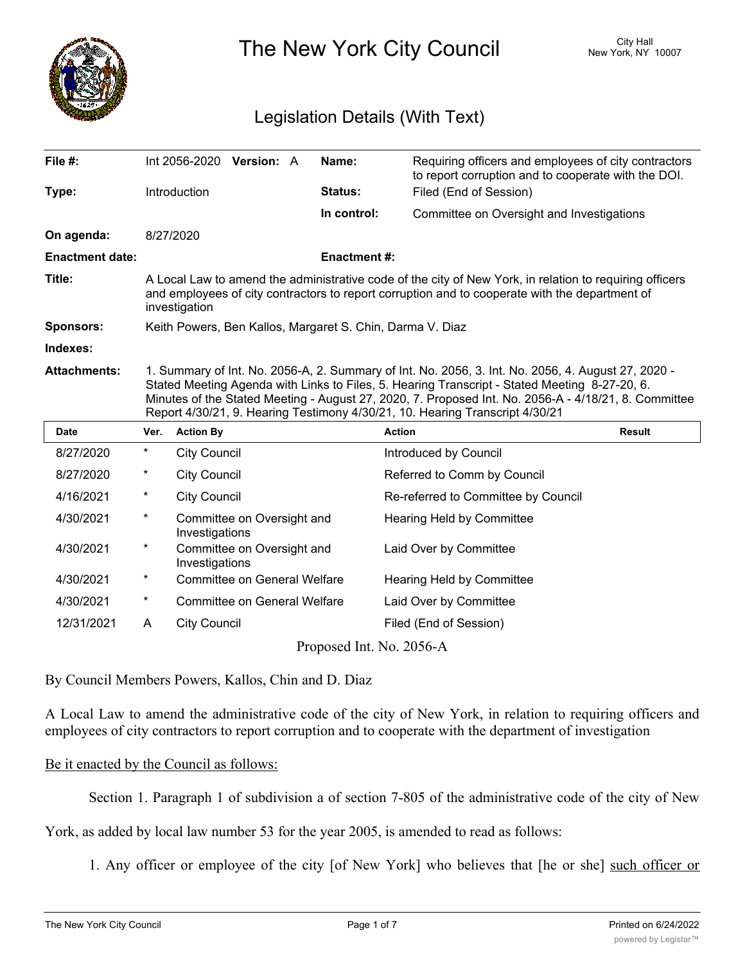

The New York City Council New York, NY 10007

# Legislation Details (With Text)

| File #:                  |                                                                                                                                                                                                                                                                                                                                                                                             |                     | Int 2056-2020 Version: A            |  | Name:              | Requiring officers and employees of city contractors<br>to report corruption and to cooperate with the DOI. |               |  |
|--------------------------|---------------------------------------------------------------------------------------------------------------------------------------------------------------------------------------------------------------------------------------------------------------------------------------------------------------------------------------------------------------------------------------------|---------------------|-------------------------------------|--|--------------------|-------------------------------------------------------------------------------------------------------------|---------------|--|
| Type:                    |                                                                                                                                                                                                                                                                                                                                                                                             | Introduction        |                                     |  | Status:            | Filed (End of Session)                                                                                      |               |  |
|                          |                                                                                                                                                                                                                                                                                                                                                                                             |                     |                                     |  | In control:        | Committee on Oversight and Investigations                                                                   |               |  |
| On agenda:               |                                                                                                                                                                                                                                                                                                                                                                                             | 8/27/2020           |                                     |  |                    |                                                                                                             |               |  |
| <b>Enactment date:</b>   |                                                                                                                                                                                                                                                                                                                                                                                             |                     |                                     |  | <b>Enactment#:</b> |                                                                                                             |               |  |
| Title:                   | A Local Law to amend the administrative code of the city of New York, in relation to requiring officers<br>and employees of city contractors to report corruption and to cooperate with the department of<br>investigation                                                                                                                                                                  |                     |                                     |  |                    |                                                                                                             |               |  |
| <b>Sponsors:</b>         | Keith Powers, Ben Kallos, Margaret S. Chin, Darma V. Diaz                                                                                                                                                                                                                                                                                                                                   |                     |                                     |  |                    |                                                                                                             |               |  |
| Indexes:                 |                                                                                                                                                                                                                                                                                                                                                                                             |                     |                                     |  |                    |                                                                                                             |               |  |
| <b>Attachments:</b>      | 1. Summary of Int. No. 2056-A, 2. Summary of Int. No. 2056, 3. Int. No. 2056, 4. August 27, 2020 -<br>Stated Meeting Agenda with Links to Files, 5. Hearing Transcript - Stated Meeting 8-27-20, 6.<br>Minutes of the Stated Meeting - August 27, 2020, 7. Proposed Int. No. 2056-A - 4/18/21, 8. Committee<br>Report 4/30/21, 9. Hearing Testimony 4/30/21, 10. Hearing Transcript 4/30/21 |                     |                                     |  |                    |                                                                                                             |               |  |
| Date                     | Ver.                                                                                                                                                                                                                                                                                                                                                                                        | <b>Action By</b>    |                                     |  |                    | <b>Action</b>                                                                                               | <b>Result</b> |  |
| 8/27/2020                | $\star$                                                                                                                                                                                                                                                                                                                                                                                     | <b>City Council</b> |                                     |  |                    | Introduced by Council                                                                                       |               |  |
| 8/27/2020                | *                                                                                                                                                                                                                                                                                                                                                                                           | <b>City Council</b> |                                     |  |                    | Referred to Comm by Council                                                                                 |               |  |
| 4/16/2021                | $\ast$                                                                                                                                                                                                                                                                                                                                                                                      | <b>City Council</b> |                                     |  |                    | Re-referred to Committee by Council                                                                         |               |  |
| 4/30/2021                | $^\star$                                                                                                                                                                                                                                                                                                                                                                                    | Investigations      | Committee on Oversight and          |  |                    | <b>Hearing Held by Committee</b>                                                                            |               |  |
| 4/30/2021                | $^\star$                                                                                                                                                                                                                                                                                                                                                                                    | Investigations      | Committee on Oversight and          |  |                    | Laid Over by Committee                                                                                      |               |  |
| 4/30/2021                | $^\star$                                                                                                                                                                                                                                                                                                                                                                                    |                     | <b>Committee on General Welfare</b> |  |                    | <b>Hearing Held by Committee</b>                                                                            |               |  |
| 4/30/2021                | $^\star$                                                                                                                                                                                                                                                                                                                                                                                    |                     | <b>Committee on General Welfare</b> |  |                    | Laid Over by Committee                                                                                      |               |  |
| 12/31/2021               | A                                                                                                                                                                                                                                                                                                                                                                                           | <b>City Council</b> |                                     |  |                    | Filed (End of Session)                                                                                      |               |  |
| Proposed Int. No. 2056-A |                                                                                                                                                                                                                                                                                                                                                                                             |                     |                                     |  |                    |                                                                                                             |               |  |

By Council Members Powers, Kallos, Chin and D. Diaz

A Local Law to amend the administrative code of the city of New York, in relation to requiring officers and employees of city contractors to report corruption and to cooperate with the department of investigation

### Be it enacted by the Council as follows:

Section 1. Paragraph 1 of subdivision a of section 7-805 of the administrative code of the city of New

York, as added by local law number 53 for the year 2005, is amended to read as follows:

1. Any officer or employee of the city [of New York] who believes that [he or she] such officer or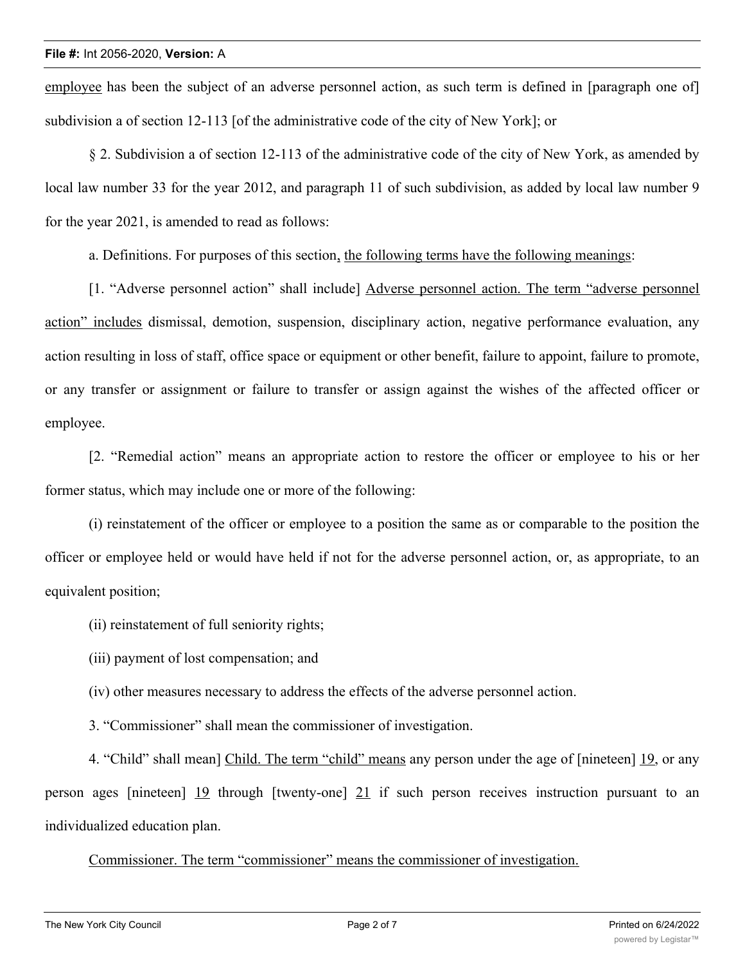employee has been the subject of an adverse personnel action, as such term is defined in [paragraph one of] subdivision a of section 12-113 [of the administrative code of the city of New York]; or

§ 2. Subdivision a of section 12-113 of the administrative code of the city of New York, as amended by local law number 33 for the year 2012, and paragraph 11 of such subdivision, as added by local law number 9 for the year 2021, is amended to read as follows:

a. Definitions. For purposes of this section, the following terms have the following meanings:

[1. "Adverse personnel action" shall include] Adverse personnel action. The term "adverse personnel action" includes dismissal, demotion, suspension, disciplinary action, negative performance evaluation, any action resulting in loss of staff, office space or equipment or other benefit, failure to appoint, failure to promote, or any transfer or assignment or failure to transfer or assign against the wishes of the affected officer or employee.

[2. "Remedial action" means an appropriate action to restore the officer or employee to his or her former status, which may include one or more of the following:

(i) reinstatement of the officer or employee to a position the same as or comparable to the position the officer or employee held or would have held if not for the adverse personnel action, or, as appropriate, to an equivalent position;

(ii) reinstatement of full seniority rights;

(iii) payment of lost compensation; and

(iv) other measures necessary to address the effects of the adverse personnel action.

3. "Commissioner" shall mean the commissioner of investigation.

4. "Child" shall mean] Child. The term "child" means any person under the age of [nineteen] 19, or any person ages [nineteen] 19 through [twenty-one] 21 if such person receives instruction pursuant to an individualized education plan.

Commissioner. The term "commissioner" means the commissioner of investigation.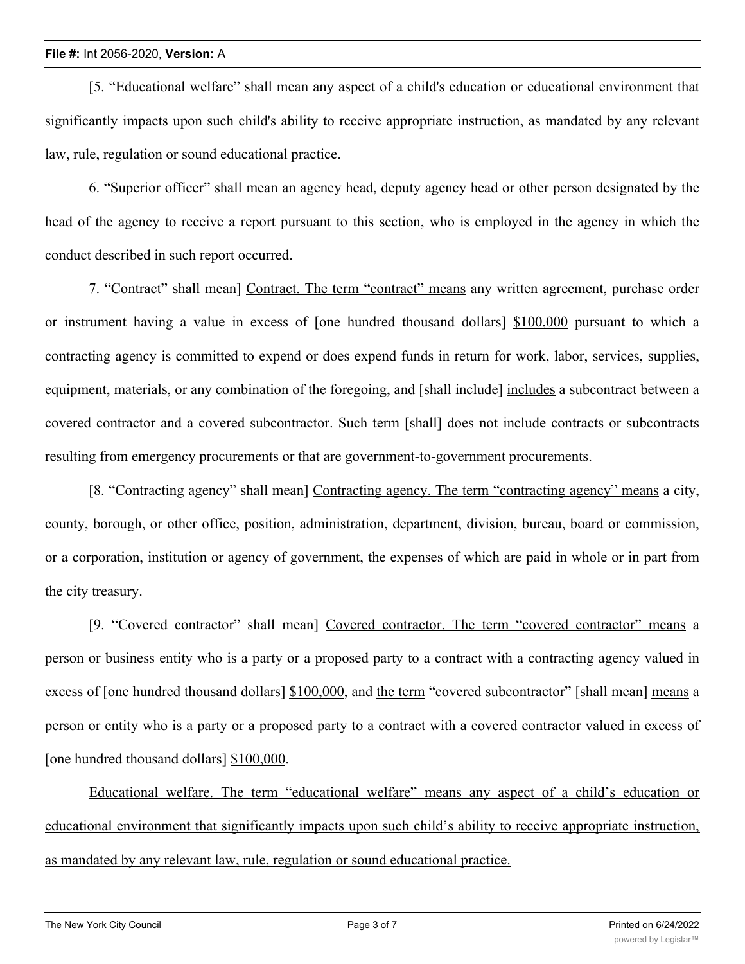[5. "Educational welfare" shall mean any aspect of a child's education or educational environment that significantly impacts upon such child's ability to receive appropriate instruction, as mandated by any relevant law, rule, regulation or sound educational practice.

6. "Superior officer" shall mean an agency head, deputy agency head or other person designated by the head of the agency to receive a report pursuant to this section, who is employed in the agency in which the conduct described in such report occurred.

7. "Contract" shall mean] Contract. The term "contract" means any written agreement, purchase order or instrument having a value in excess of [one hundred thousand dollars] \$100,000 pursuant to which a contracting agency is committed to expend or does expend funds in return for work, labor, services, supplies, equipment, materials, or any combination of the foregoing, and [shall include] includes a subcontract between a covered contractor and a covered subcontractor. Such term [shall] does not include contracts or subcontracts resulting from emergency procurements or that are government-to-government procurements.

[8. "Contracting agency" shall mean] Contracting agency. The term "contracting agency" means a city, county, borough, or other office, position, administration, department, division, bureau, board or commission, or a corporation, institution or agency of government, the expenses of which are paid in whole or in part from the city treasury.

[9. "Covered contractor" shall mean] Covered contractor. The term "covered contractor" means a person or business entity who is a party or a proposed party to a contract with a contracting agency valued in excess of [one hundred thousand dollars] \$100,000, and the term "covered subcontractor" [shall mean] means a person or entity who is a party or a proposed party to a contract with a covered contractor valued in excess of [one hundred thousand dollars] \$100,000.

Educational welfare. The term "educational welfare" means any aspect of a child's education or educational environment that significantly impacts upon such child's ability to receive appropriate instruction, as mandated by any relevant law, rule, regulation or sound educational practice.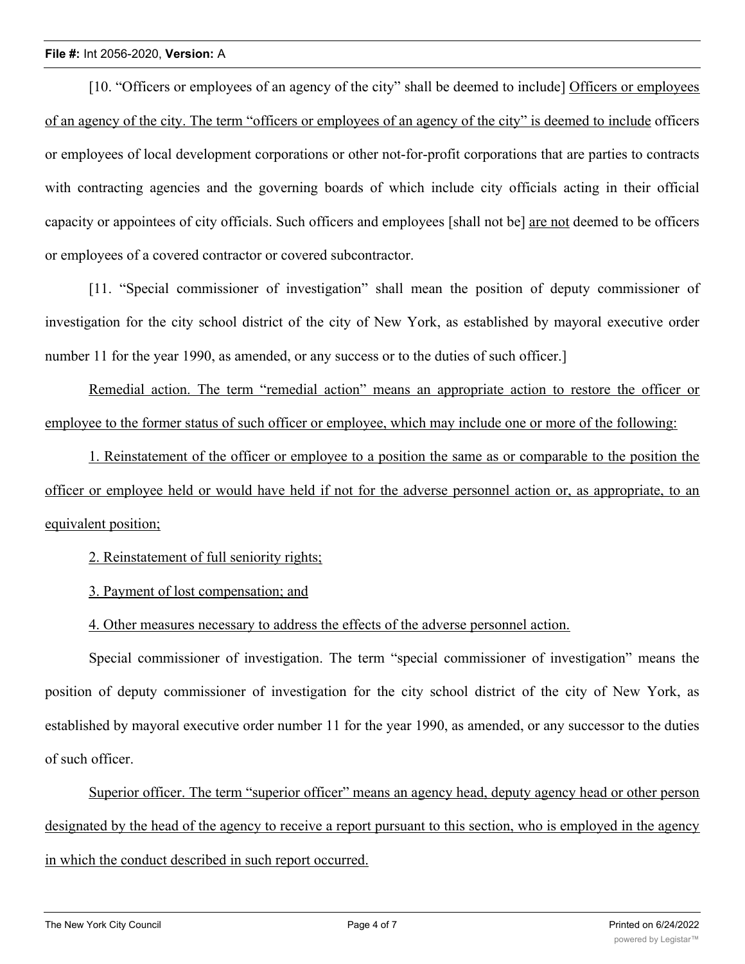[10. "Officers or employees of an agency of the city" shall be deemed to include] Officers or employees of an agency of the city. The term "officers or employees of an agency of the city" is deemed to include officers or employees of local development corporations or other not-for-profit corporations that are parties to contracts with contracting agencies and the governing boards of which include city officials acting in their official capacity or appointees of city officials. Such officers and employees [shall not be] are not deemed to be officers or employees of a covered contractor or covered subcontractor.

[11. "Special commissioner of investigation" shall mean the position of deputy commissioner of investigation for the city school district of the city of New York, as established by mayoral executive order number 11 for the year 1990, as amended, or any success or to the duties of such officer.

Remedial action. The term "remedial action" means an appropriate action to restore the officer or employee to the former status of such officer or employee, which may include one or more of the following:

1. Reinstatement of the officer or employee to a position the same as or comparable to the position the officer or employee held or would have held if not for the adverse personnel action or, as appropriate, to an equivalent position;

2. Reinstatement of full seniority rights;

3. Payment of lost compensation; and

4. Other measures necessary to address the effects of the adverse personnel action.

Special commissioner of investigation. The term "special commissioner of investigation" means the position of deputy commissioner of investigation for the city school district of the city of New York, as established by mayoral executive order number 11 for the year 1990, as amended, or any successor to the duties of such officer.

Superior officer. The term "superior officer" means an agency head, deputy agency head or other person designated by the head of the agency to receive a report pursuant to this section, who is employed in the agency in which the conduct described in such report occurred.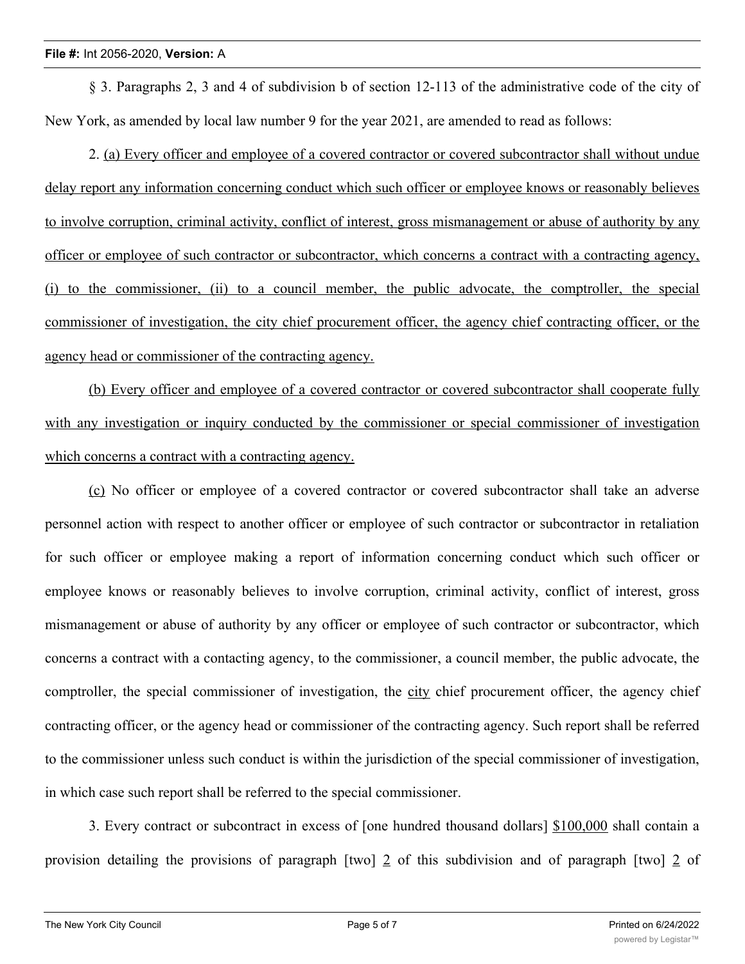§ 3. Paragraphs 2, 3 and 4 of subdivision b of section 12-113 of the administrative code of the city of New York, as amended by local law number 9 for the year 2021, are amended to read as follows:

2. (a) Every officer and employee of a covered contractor or covered subcontractor shall without undue delay report any information concerning conduct which such officer or employee knows or reasonably believes to involve corruption, criminal activity, conflict of interest, gross mismanagement or abuse of authority by any officer or employee of such contractor or subcontractor, which concerns a contract with a contracting agency, (i) to the commissioner, (ii) to a council member, the public advocate, the comptroller, the special commissioner of investigation, the city chief procurement officer, the agency chief contracting officer, or the agency head or commissioner of the contracting agency.

(b) Every officer and employee of a covered contractor or covered subcontractor shall cooperate fully with any investigation or inquiry conducted by the commissioner or special commissioner of investigation which concerns a contract with a contracting agency.

(c) No officer or employee of a covered contractor or covered subcontractor shall take an adverse personnel action with respect to another officer or employee of such contractor or subcontractor in retaliation for such officer or employee making a report of information concerning conduct which such officer or employee knows or reasonably believes to involve corruption, criminal activity, conflict of interest, gross mismanagement or abuse of authority by any officer or employee of such contractor or subcontractor, which concerns a contract with a contacting agency, to the commissioner, a council member, the public advocate, the comptroller, the special commissioner of investigation, the city chief procurement officer, the agency chief contracting officer, or the agency head or commissioner of the contracting agency. Such report shall be referred to the commissioner unless such conduct is within the jurisdiction of the special commissioner of investigation, in which case such report shall be referred to the special commissioner.

3. Every contract or subcontract in excess of [one hundred thousand dollars] \$100,000 shall contain a provision detailing the provisions of paragraph [two] 2 of this subdivision and of paragraph [two] 2 of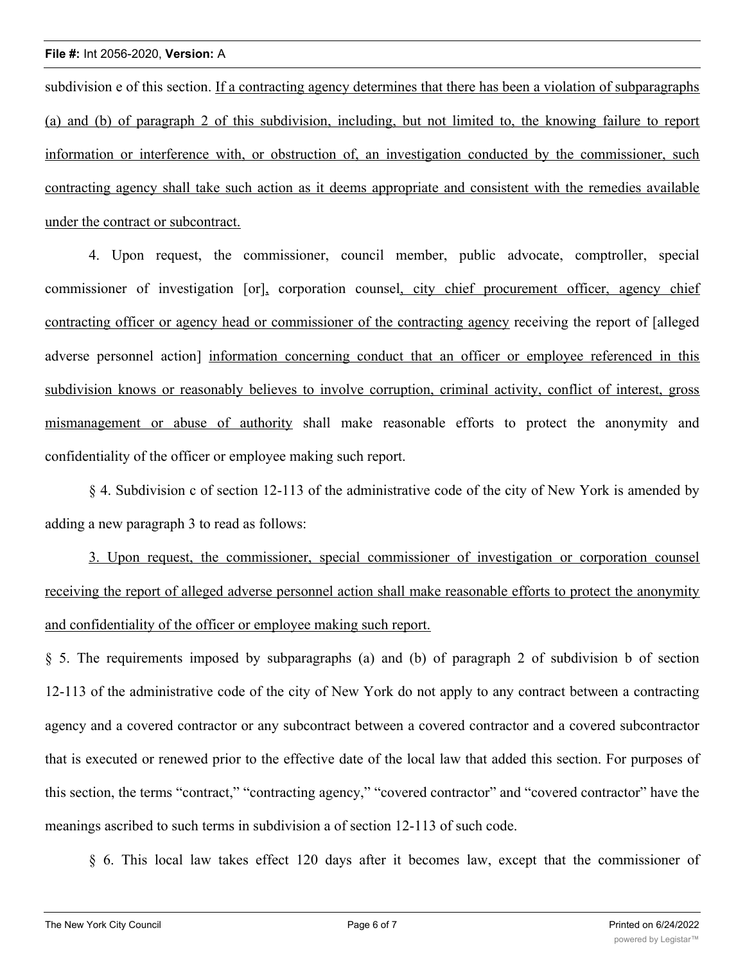subdivision e of this section. If a contracting agency determines that there has been a violation of subparagraphs (a) and (b) of paragraph 2 of this subdivision, including, but not limited to, the knowing failure to report information or interference with, or obstruction of, an investigation conducted by the commissioner, such contracting agency shall take such action as it deems appropriate and consistent with the remedies available under the contract or subcontract.

4. Upon request, the commissioner, council member, public advocate, comptroller, special commissioner of investigation [or], corporation counsel, city chief procurement officer, agency chief contracting officer or agency head or commissioner of the contracting agency receiving the report of [alleged adverse personnel action] information concerning conduct that an officer or employee referenced in this subdivision knows or reasonably believes to involve corruption, criminal activity, conflict of interest, gross mismanagement or abuse of authority shall make reasonable efforts to protect the anonymity and confidentiality of the officer or employee making such report.

§ 4. Subdivision c of section 12-113 of the administrative code of the city of New York is amended by adding a new paragraph 3 to read as follows:

3. Upon request, the commissioner, special commissioner of investigation or corporation counsel receiving the report of alleged adverse personnel action shall make reasonable efforts to protect the anonymity and confidentiality of the officer or employee making such report.

§ 5. The requirements imposed by subparagraphs (a) and (b) of paragraph 2 of subdivision b of section 12-113 of the administrative code of the city of New York do not apply to any contract between a contracting agency and a covered contractor or any subcontract between a covered contractor and a covered subcontractor that is executed or renewed prior to the effective date of the local law that added this section. For purposes of this section, the terms "contract," "contracting agency," "covered contractor" and "covered contractor" have the meanings ascribed to such terms in subdivision a of section 12-113 of such code.

§ 6. This local law takes effect 120 days after it becomes law, except that the commissioner of